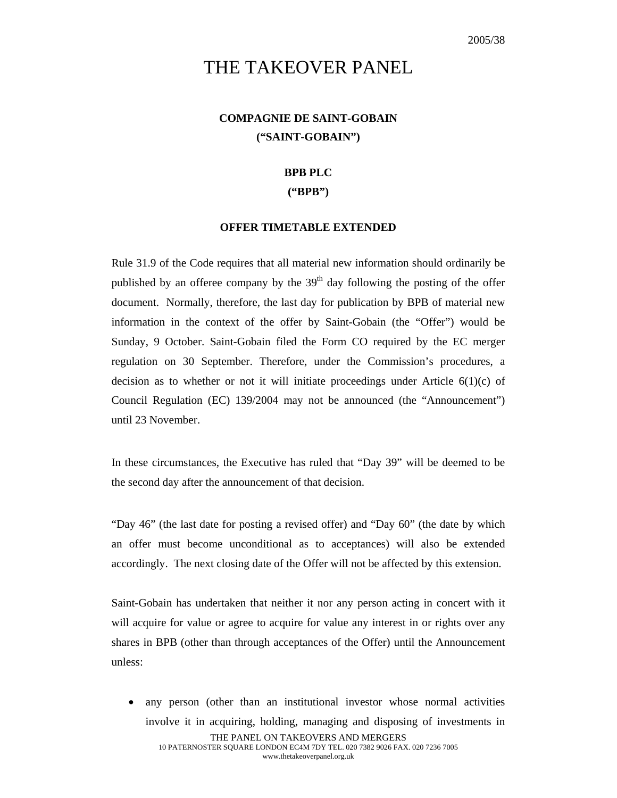# THE TAKEOVER PANEL

## **COMPAGNIE DE SAINT-GOBAIN ("SAINT-GOBAIN")**

#### **BPB PLC**

#### **("BPB")**

### **OFFER TIMETABLE EXTENDED**

Rule 31.9 of the Code requires that all material new information should ordinarily be published by an offeree company by the  $39<sup>th</sup>$  day following the posting of the offer document. Normally, therefore, the last day for publication by BPB of material new information in the context of the offer by Saint-Gobain (the "Offer") would be Sunday, 9 October. Saint-Gobain filed the Form CO required by the EC merger regulation on 30 September. Therefore, under the Commission's procedures, a decision as to whether or not it will initiate proceedings under Article  $6(1)(c)$  of Council Regulation (EC) 139/2004 may not be announced (the "Announcement") until 23 November.

In these circumstances, the Executive has ruled that "Day 39" will be deemed to be the second day after the announcement of that decision.

"Day 46" (the last date for posting a revised offer) and "Day 60" (the date by which an offer must become unconditional as to acceptances) will also be extended accordingly. The next closing date of the Offer will not be affected by this extension.

Saint-Gobain has undertaken that neither it nor any person acting in concert with it will acquire for value or agree to acquire for value any interest in or rights over any shares in BPB (other than through acceptances of the Offer) until the Announcement unless:

THE PANEL ON TAKEOVERS AND MERGERS 10 PATERNOSTER SQUARE LONDON EC4M 7DY TEL. 020 7382 9026 FAX. 020 7236 7005 www.thetakeoverpanel.org.uk • any person (other than an institutional investor whose normal activities involve it in acquiring, holding, managing and disposing of investments in